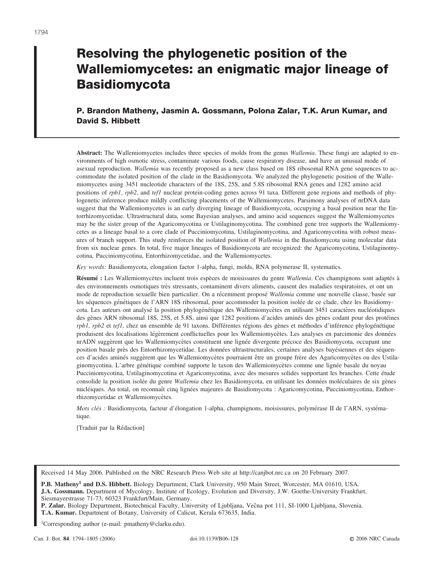# **Resolving the phylogenetic position of the Wallemiomycetes: an enigmatic major lineage of Basidiomycota**

# **P. Brandon Matheny, Jasmin A. Gossmann, Polona Zalar, T.K. Arun Kumar, and David S. Hibbett**

**Abstract:** The Wallemiomycetes includes three species of molds from the genus *Wallemia*. These fungi are adapted to environments of high osmotic stress, contaminate various foods, cause respiratory disease, and have an unusual mode of asexual reproduction. *Wallemia* was recently proposed as a new class based on 18S ribosomal RNA gene sequences to accommodate the isolated position of the clade in the Basidiomycota. We analyzed the phylogenetic position of the Wallemiomycetes using 3451 nucleotide characters of the 18S, 25S, and 5.8S ribosomal RNA genes and 1282 amino acid positions of *rpb1*, *rpb2*, and *tef1* nuclear protein-coding genes across 91 taxa. Different gene regions and methods of phylogenetic inference produce mildly conflicting placements of the Wallemiomycetes. Parsimony analyses of nrDNA data suggest that the Wallemiomycetes is an early diverging lineage of Basidiomycota, occupying a basal position near the Entorrhizomycetidae. Ultrastructural data, some Bayesian analyses, and amino acid sequences suggest the Wallemiomycetes may be the sister group of the Agaricomycotina or Ustilaginomycotina. The combined gene tree supports the Wallemiomycetes as a lineage basal to a core clade of Pucciniomycotina, Ustilaginomycotina, and Agaricomycotina with robust measures of branch support. This study reinforces the isolated position of *Wallemia* in the Basidiomycota using molecular data from six nuclear genes. In total, five major lineages of Basidiomycota are recognized: the Agaricomycotina, Ustilaginomycotina, Pucciniomycotina, Entorrhizomycetidae, and the Wallemiomycetes.

*Key words:* Basidiomycota, elongation factor 1-alpha, fungi, molds, RNA polymerase II, systematics.

**Résumé** : Les Wallemiomycètes incluent trois espèces de moisissures du genre *Wallemia*. Ces champignons sont adaptés à des environnements osmotiques très stressants, contaminent divers aliments, causent des maladies respiratoires, et ont un mode de reproduction sexuelle bien particulier. On a récemment proposé *Wallemia* comme une nouvelle classe, basée sur les séquences génétiques de l'ARN 18S ribosomal, pour accommoder la position isolée de ce clade, chez les Basidiomycota. Les auteurs ont analysé la position phylogénétique des Wallemiomycètes en utilisant 3451 caractères nucléotidiques des gènes ARN ribosomal 18S, 25S, et 5.8S, ainsi que 1282 positions d'acides aminés des gènes codant pour des protéines *rpb1, rpb2* et *tef1,* chez un ensemble de 91 taxons. Différentes régions des gènes et méthodes d'inférence phylogénétique produisent des localisations légèrement conflictuelles pour les Wallemiomycètes. Les analyses en parcimonie des données nrADN suggèrent que les Wallemiomycètes constituent une lignée divergente précoce des Basidiomycota, occupant une position basale près des Entorrhizomycetidae. Les données ultrastructurales, certaines analyses bayésiennes et des séquences d'acides aminés suggèrent que les Wallemiomycètes pourraient être un groupe frère des Agaricomycètes ou des Ustilaginomycotina. L'arbre génétique combiné supporte le taxon des Wallemiomycètes comme une lignée basale du noyau Pucciniomycotina, Ustilaginomycotina et Agaricomycotina, avec des mesures solides supportant les branches. Cette étude consolide la position isolée du genre *Wallemia* chez les Basidiomycota, en utilisant les données moléculaires de six gènes nucléiques. Au total, on reconnaît cinq lignées majeures de Basidiomycota : Agaricomycotina, Pucciniomycotina, Enthorrhizomycetidae et Wallemiomycètes.

*Mots clés : Basidiomycota, facteur d'élongation 1-alpha, champignons, moisissures, polymérase II de l'ARN, systéma*tique.

[Traduit par la Rédaction]

Received 14 May 2006. Published on the NRC Research Press Web site at http://canjbot.nrc.ca on 20 February 2007.

**P.B. Matheny1 and D.S. Hibbett.** Biology Department, Clark University, 950 Main Street, Worcester, MA 01610, USA. **J.A. Gossmann.** Department of Mycology, Institute of Ecology, Evolution and Diversity, J.W. Goethe-University Frankfurt, Siesmayerstrasse 71-73, 60323 Frankfurt/Main, Germany.

P. Zalar. Biology Department, Biotechnical Faculty, University of Ljubljana, Večna pot 111, SI-1000 Ljubljana, Slovenia. **T.A. Kumar.** Department of Botany, University of Calicut, Kerala 673635, India.

1Corresponding author (e-mail: pmatheny@clarku.edu).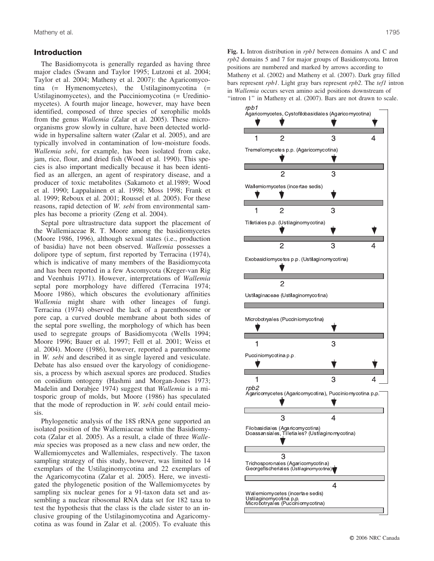# **Introduction**

The Basidiomycota is generally regarded as having three major clades (Swann and Taylor 1995; Lutzoni et al. 2004; Taylor et al. 2004; Matheny et al. 2007): the Agaricomycotina (= Hymenomycetes), the Ustilaginomycotina (= Ustilaginomycetes), and the Pucciniomycotina (= Urediniomycetes). A fourth major lineage, however, may have been identified, composed of three species of xerophilic molds from the genus *Wallemia* (Zalar et al. 2005). These microorganisms grow slowly in culture, have been detected worldwide in hypersaline saltern water (Zalar et al. 2005), and are typically involved in contamination of low-moisture foods. *Wallemia sebi*, for example, has been isolated from cake, jam, rice, flour, and dried fish (Wood et al. 1990). This species is also important medically because it has been identified as an allergen, an agent of respiratory disease, and a producer of toxic metabolites (Sakamoto et al.1989; Wood et al. 1990; Lappalainen et al. 1998; Moss 1998; Frank et al. 1999; Reboux et al. 2001; Roussel et al. 2005). For these reasons, rapid detection of *W. sebi* from environmental samples has become a priority (Zeng et al. 2004).

Septal pore ultrastructure data support the placement of the Wallemiaceae R. T. Moore among the basidiomycetes (Moore 1986, 1996), although sexual states (i.e., production of basidia) have not been observed. *Wallemia* possesses a dolipore type of septum, first reported by Terracina (1974), which is indicative of many members of the Basidiomycota and has been reported in a few Ascomycota (Kreger-van Rig and Veenhuis 1971). However, interpretations of *Wallemia* septal pore morphology have differed (Terracina 1974; Moore 1986), which obscures the evolutionary affinities *Wallemia* might share with other lineages of fungi. Terracina (1974) observed the lack of a parenthosome or pore cap, a curved double membrane about both sides of the septal pore swelling, the morphology of which has been used to segregate groups of Basidiomycota (Wells 1994; Moore 1996; Bauer et al. 1997; Fell et al. 2001; Weiss et al. 2004). Moore (1986), however, reported a parenthosome in *W. sebi* and described it as single layered and vesiculate. Debate has also ensued over the karyology of conidiogenesis, a process by which asexual spores are produced. Studies on conidium ontogeny (Hashmi and Morgan-Jones 1973; Madelin and Dorabjee 1974) suggest that *Wallemia* is a mitosporic group of molds, but Moore (1986) has speculated that the mode of reproduction in *W. sebi* could entail meiosis.

Phylogenetic analysis of the 18S rRNA gene supported an isolated position of the Wallemiaceae within the Basidiomycota (Zalar et al. 2005). As a result, a clade of three *Wallemia* species was proposed as a new class and new order, the Wallemiomycetes and Wallemiales, respectively. The taxon sampling strategy of this study, however, was limited to 14 exemplars of the Ustilaginomycotina and 22 exemplars of the Agaricomycotina (Zalar et al. 2005). Here, we investigated the phylogenetic position of the Wallemiomycetes by sampling six nuclear genes for a 91-taxon data set and assembling a nuclear ribosomal RNA data set for 182 taxa to test the hypothesis that the class is the clade sister to an inclusive grouping of the Ustilaginomycotina and Agaricomycotina as was found in Zalar et al. (2005). To evaluate this

**Fig. 1.** Intron distribution in *rpb1* between domains A and C and *rpb2* domains 5 and 7 for major groups of Basidiomycota. Intron positions are numbered and marked by arrows according to Matheny et al. (2002) and Matheny et al. (2007). Dark gray filled bars represent *rpb1*. Light gray bars represent *rpb2*. The *tef1* intron in *Wallemia* occurs seven amino acid positions downstream of "intron 1" in Matheny et al. (2007). Bars are not drawn to scale.

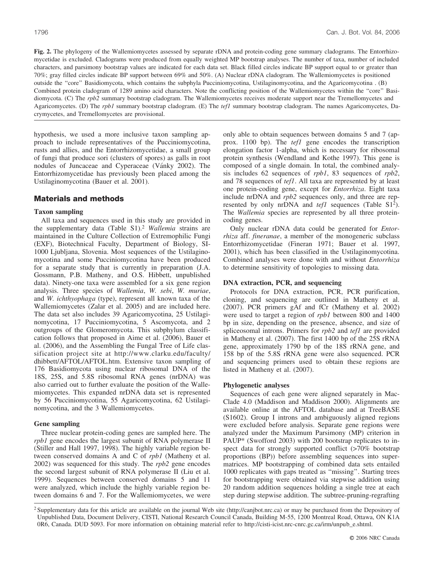**Fig. 2.** The phylogeny of the Wallemiomycetes assessed by separate rDNA and protein-coding gene summary cladograms. The Entorrhizomycetidae is excluded. Cladograms were produced from equally weighted MP bootstrap analyses. The number of taxa, number of included characters, and parsimony bootstrap values are indicated for each data set. Black filled circles indicate BP support equal to or greater than 70%; gray filled circles indicate BP support between 69% and 50%. (A) Nuclear rDNA cladogram. The Wallemiomycetes is positioned outside the ''core'' Basidiomycota, which contains the subphyla Pucciniomycotina, Ustilaginomycotina, and the Agaricomycotina . (B) Combined protein cladogram of 1289 amino acid characters. Note the conflicting position of the Wallemiomycetes within the ''core'' Basidiomycota. (C) The *rpb2* summary bootstrap cladogram. The Wallemiomycetes receives moderate support near the Tremellomycetes and Agaricomycetes. (D) The *rpb1* summary bootstrap cladogram. (E) The *tef1* summary bootstrap cladogram. The names Agaricomycetes, Dacrymycetes, and Tremellomycetes are provisional.

hypothesis, we used a more inclusive taxon sampling approach to include representatives of the Pucciniomycotina, rusts and allies, and the Entorrhizomycetidae, a small group of fungi that produce sori (clusters of spores) as galls in root nodules of Juncaceae and Cyperaceae (Vánky 2002). The Entorrhizomycetidae has previously been placed among the Ustilaginomycotina (Bauer et al. 2001).

# **Materials and methods**

#### **Taxon sampling**

All taxa and sequences used in this study are provided in the supplementary data (Table S1).2 *Wallemia* strains are maintained in the Culture Collection of Extremophilic Fungi (EXF), Biotechnical Faculty, Department of Biology, SI-1000 Ljubljana, Slovenia. Most sequences of the Ustilaginomycotina and some Pucciniomycotina have been produced for a separate study that is currently in preparation (J.A. Gossmann, P.B. Matheny, and O.S. Hibbett, unpublished data). Ninety-one taxa were assembled for a six gene region analysis. Three species of *Wallemia*, *W. sebi*, *W. muriae*, and *W. ichthyophaga* (type), represent all known taxa of the Wallemiomycetes (Zalar et al. 2005) and are included here. The data set also includes 39 Agaricomycotina, 25 Ustilaginomycotina, 17 Pucciniomycotina, 5 Ascomycota, and 2 outgroups of the Glomeromycota. This subphylum classification follows that proposed in Aime et al. (2006), Bauer et al. (2006), and the Assembling the Fungal Tree of Life classification project site at http://www.clarku.edu/faculty/ dhibbett/AFTOL/AFTOL.htm. Extensive taxon sampling of 176 Basidiomycota using nuclear ribosomal DNA of the 18S, 25S, and 5.8S ribosomal RNA genes (nrDNA) was also carried out to further evaluate the position of the Wallemiomycetes. This expanded nrDNA data set is represented by 56 Pucciniomycotina, 55 Agaricomycotina, 62 Ustilaginomycotina, and the 3 Wallemiomycetes.

## **Gene sampling**

Three nuclear protein-coding genes are sampled here. The *rpb1* gene encodes the largest subunit of RNA polymerase II (Stiller and Hall 1997, 1998). The highly variable region between conserved domains A and C of *rpb1* (Matheny et al. 2002) was sequenced for this study. The *rpb2* gene encodes the second largest subunit of RNA polymerase II (Liu et al. 1999). Sequences between conserved domains 5 and 11 were analyzed, which include the highly variable region between domains 6 and 7. For the Wallemiomycetes, we were only able to obtain sequences between domains 5 and 7 (approx. 1100 bp). The *tef1* gene encodes the transcription elongation factor 1-alpha, which is necessary for ribosomal protein synthesis (Wendland and Kothe 1997). This gene is composed of a single domain. In total, the combined analysis includes 62 sequences of *rpb1*, 83 sequences of *rpb2*, and 78 sequences of *tef1*. All taxa are represented by at least one protein-coding gene, except for *Entorrhiza*. Eight taxa include nrDNA and *rpb2* sequences only, and three are represented by only nrDNA and *tef1* sequences (Table S1<sup>2</sup>). The *Wallemia* species are represented by all three proteincoding genes.

Only nuclear rDNA data could be generated for *Entorrhiza* aff. *fineranae*, a member of the monogeneric subclass Entorrhizomycetidae (Fineran 1971; Bauer et al. 1997, 2001), which has been classified in the Ustilaginomycotina. Combined analyses were done with and without *Entorrhiza* to determine sensitivity of topologies to missing data.

#### **DNA extraction, PCR, and sequencing**

Protocols for DNA extraction, PCR, PCR purification, cloning, and sequencing are outlined in Matheny et al. (2007). PCR primers gAf and fCr (Matheny et al. 2002) were used to target a region of *rpb1* between 800 and 1400 bp in size, depending on the presence, absence, and size of spliceosomal introns. Primers for *rpb2* and *tef1* are provided in Matheny et al. (2007). The first 1400 bp of the 25S rRNA gene, approximately 1790 bp of the 18S rRNA gene, and 158 bp of the 5.8S rRNA gene were also sequenced. PCR and sequencing primers used to obtain these regions are listed in Matheny et al. (2007).

#### **Phylogenetic analyses**

Sequences of each gene were aligned separately in Mac-Clade 4.0 (Maddison and Maddison 2000). Alignments are available online at the AFTOL database and at TreeBASE (S1602). Group I introns and ambiguously aligned regions were excluded before analysis. Separate gene regions were analyzed under the Maximum Parsimony (MP) criterion in PAUP\* (Swofford 2003) with 200 bootstrap replicates to inspect data for strongly supported conflict (>70% bootstrap proportions (BP)) before assembling sequences into supermatrices. MP bootstrapping of combined data sets entailed 1000 replicates with gaps treated as ''missing''. Starting trees for bootstrapping were obtained via stepwise addition using 20 random addition sequences holding a single tree at each step during stepwise addition. The subtree-pruning-regrafting

<sup>2</sup> Supplementary data for this article are available on the journal Web site (http://canjbot.nrc.ca) or may be purchased from the Depository of Unpublished Data, Document Delivery, CISTI, National Research Council Canada, Building M-55, 1200 Montreal Road, Ottawa, ON K1A 0R6, Canada. DUD 5093. For more information on obtaining material refer to http://cisti-icist.nrc-cnrc.gc.ca/irm/unpub\_e.shtml.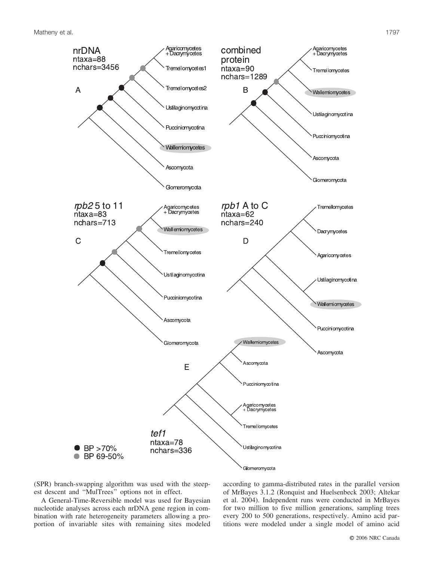

(SPR) branch-swapping algorithm was used with the steepest descent and ''MulTrees'' options not in effect.

A General-Time-Reversible model was used for Bayesian nucleotide analyses across each nrDNA gene region in combination with rate heterogeneity parameters allowing a proportion of invariable sites with remaining sites modeled according to gamma-distributed rates in the parallel version of MrBayes 3.1.2 (Ronquist and Huelsenbeck 2003; Altekar et al. 2004). Independent runs were conducted in MrBayes for two million to five million generations, sampling trees every 200 to 500 generations, respectively. Amino acid partitions were modeled under a single model of amino acid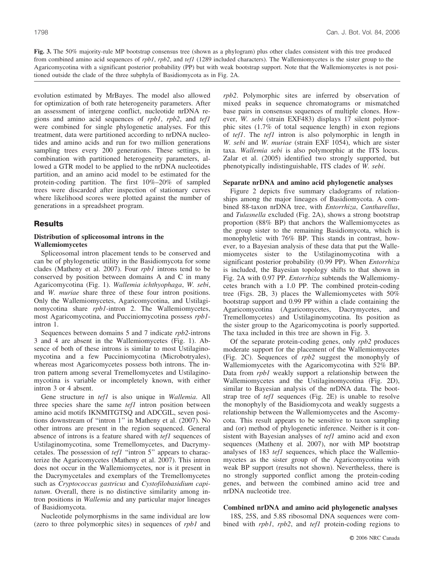**Fig. 3.** The 50% majority-rule MP bootstrap consensus tree (shown as a phylogram) plus other clades consistent with this tree produced from combined amino acid sequences of *rpb1*, *rpb2*, and *tef1* (1289 included characters). The Wallemiomycetes is the sister group to the Agaricomycotina with a significant posterior probability (PP) but with weak bootstrap support. Note that the Wallemiomycetes is not positioned outside the clade of the three subphyla of Basidiomycota as in Fig. 2A.

evolution estimated by MrBayes. The model also allowed for optimization of both rate heterogeneity parameters. After an assessment of intergene conflict, nucleotide nrDNA regions and amino acid sequences of *rpb1*, *rpb2*, and *tef1* were combined for single phylogenetic analyses. For this treatment, data were partitioned according to nrDNA nucleotides and amino acids and run for two million generations sampling trees every 200 generations. These settings, in combination with partitioned heterogeneity parameters, allowed a GTR model to be applied to the nrDNA nucleotides partition, and an amino acid model to be estimated for the protein-coding partition. The first 10%–20% of sampled trees were discarded after inspection of stationary curves where likelihood scores were plotted against the number of generations in a spreadsheet program.

# **Results**

## **Distribution of spliceosomal introns in the Wallemiomycetes**

Spliceosomal intron placement tends to be conserved and can be of phylogenetic utility in the Basidiomycota for some clades (Matheny et al. 2007). Four *rpb1* introns tend to be conserved by position between domains A and C in many Agaricomycotina (Fig. 1). *Wallemia ichthyophaga*, *W. sebi*, and *W. muriae* share three of these four intron positions. Only the Wallemiomycetes, Agaricomycotina, and Ustilaginomycotina share *rpb1*-intron 2. The Wallemiomycetes, most Agaricomycotina, and Pucciniomycotina possess *rpb1* intron 1.

Sequences between domains 5 and 7 indicate *rpb2*-introns 3 and 4 are absent in the Wallemiomycetes (Fig. 1). Absence of both of these introns is similar to most Ustilaginomycotina and a few Pucciniomycotina (Microbotryales), whereas most Agaricomycetes possess both introns. The intron pattern among several Tremellomycetes and Ustilaginomycotina is variable or incompletely known, with either intron 3 or 4 absent.

Gene structure in *tef1* is also unique in *Wallemia*. All three species share the same *tef1* intron position between amino acid motifs IKNMITGTSQ and ADCGIL, seven positions downstream of ''intron 1'' in Matheny et al. (2007). No other introns are present in the region sequenced. General absence of introns is a feature shared with *tef1* sequences of Ustilaginomycotina, some Tremellomycetes, and Dacrymycetales. The possession of *tef1* ''intron 5'' appears to characterize the Agaricomycetes (Matheny et al. 2007). This intron does not occur in the Wallemiomycetes, nor is it present in the Dacrymycetales and exemplars of the Tremellomycetes such as *Cryptococcus gastricus* and *Cystofilobasidium capitatum*. Overall, there is no distinctive similarity among intron positions in *Wallemia* and any particular major lineages of Basidiomycota.

Nucleotide polymorphisms in the same individual are low (zero to three polymorphic sites) in sequences of *rpb1* and *rpb2*. Polymorphic sites are inferred by observation of mixed peaks in sequence chromatograms or mismatched base pairs in consensus sequences of multiple clones. However, *W. sebi* (strain EXF483) displays 17 silent polymorphic sites (1.7% of total sequence length) in exon regions of *tef1*. The *tef1* intron is also polymorphic in length in *W. sebi* and *W. muriae* (strain EXF 1054), which are sister taxa. *Wallemia sebi* is also polymorphic at the ITS locus. Zalar et al. (2005) identified two strongly supported, but phenotypically indistinguishable, ITS clades of *W. sebi*.

#### **Separate nrDNA and amino acid phylogenetic analyses**

Figure 2 depicts five summary cladograms of relationships among the major lineages of Basidiomycota. A combined 88-taxon nrDNA tree, with *Entorrhiza*, *Cantharellus*, and *Tulasnella* excluded (Fig. 2A), shows a strong bootstrap proportion (88% BP) that anchors the Wallemiomycetes as the group sister to the remaining Basidiomycota, which is monophyletic with 76% BP. This stands in contrast, however, to a Bayesian analysis of these data that put the Wallemiomycetes sister to the Ustilaginomycotina with a significant posterior probability (0.99 PP). When *Entorrhiza* is included, the Bayesian topology shifts to that shown in Fig. 2A with 0.97 PP. *Entorrhiza* subtends the Wallemiomycetes branch with a 1.0 PP. The combined protein-coding tree (Figs. 2B, 3) places the Wallemiomycetes with 50% bootstrap support and 0.99 PP within a clade containing the Agaricomycotina (Agaricomycetes, Dacrymycetes, and Tremellomycetes) and Ustilaginomycotina. Its position as the sister group to the Agaricomycotina is poorly supported. The taxa included in this tree are shown in Fig. 3.

Of the separate protein-coding genes, only *rpb2* produces moderate support for the placement of the Wallemiomycetes (Fig. 2C). Sequences of *rpb2* suggest the monophyly of Wallemiomycetes with the Agaricomycotina with 52% BP. Data from *rpb1* weakly support a relationship between the Wallemiomycetes and the Ustilaginomycotina (Fig. 2D), similar to Bayesian analysis of the nrDNA data. The bootstrap tree of *tef1* sequences (Fig. 2E) is unable to resolve the monophyly of the Basidiomycota and weakly suggests a relationship between the Wallemiomycetes and the Ascomycota. This result appears to be sensitive to taxon sampling and (or) method of phylogenetic inference. Neither is it consistent with Bayesian analyses of *tef1* amino acid and exon sequences (Matheny et al. 2007), nor with MP bootstrap analyses of 183 *tef1* sequences, which place the Wallemiomycetes as the sister group of the Agaricomycotina with weak BP support (results not shown). Nevertheless, there is no strongly supported conflict among the protein-coding genes, and between the combined amino acid tree and nrDNA nucleotide tree.

#### **Combined nrDNA and amino acid phylogenetic analyses**

18S, 25S, and 5.8S ribosomal DNA sequences were combined with *rpb1*, *rpb2*, and *tef1* protein-coding regions to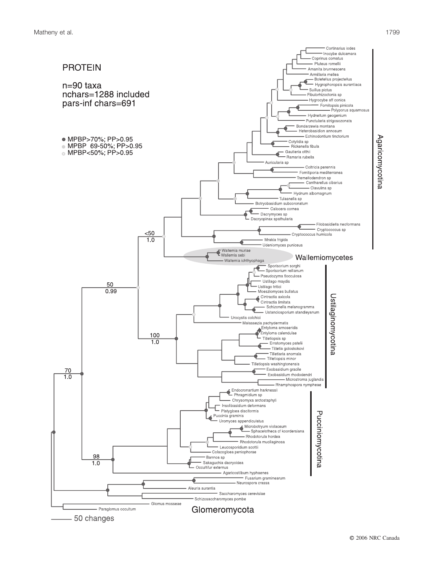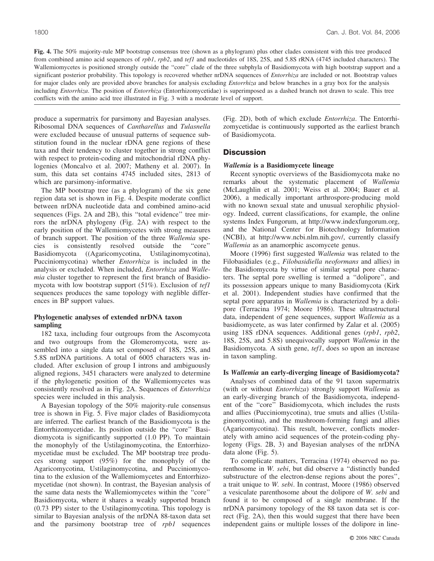**Fig. 4.** The 50% majority-rule MP bootstrap consensus tree (shown as a phylogram) plus other clades consistent with this tree produced from combined amino acid sequences of *rpb1*, *rpb2*, and *tef1* and nucleotides of 18S, 25S, and 5.8S rRNA (4745 included characters). The Wallemiomycetes is positioned strongly outside the "core" clade of the three subphyla of Basidiomycota with high bootstrap support and a significant posterior probability. This topology is recovered whether nrDNA sequences of *Entorrhiza* are included or not. Bootstrap values for major clades only are provided above branches for analysis excluding *Entorrhiza* and below branches in a gray box for the analysis including *Entorrhiza*. The position of *Entorrhiza* (Entorrhizomycetidae) is superimposed as a dashed branch not drawn to scale. This tree conflicts with the amino acid tree illustrated in Fig. 3 with a moderate level of support.

produce a supermatrix for parsimony and Bayesian analyses. Ribosomal DNA sequences of *Cantharellus* and *Tulasnella* were excluded because of unusual patterns of sequence substitution found in the nuclear rDNA gene regions of these taxa and their tendency to cluster together in strong conflict with respect to protein-coding and mitochondrial rDNA phylogenies (Moncalvo et al. 2007; Matheny et al. 2007). In sum, this data set contains 4745 included sites, 2813 of which are parsimony-informative.

The MP bootstrap tree (as a phylogram) of the six gene region data set is shown in Fig. 4. Despite moderate conflict between nrDNA nucleotide data and combined amino-acid sequences (Figs. 2A and 2B), this ''total evidence'' tree mirrors the nrDNA phylogeny (Fig. 2A) with respect to the early position of the Wallemiomycetes with strong measures of branch support. The position of the three *Wallemia* species is consistently resolved outside the ''core'' Basidiomycota ((Agaricomycotina, Ustilaginomycotina), Pucciniomycotina) whether *Entorrhiza* is included in the analysis or excluded. When included, *Entorrhiza* and *Wallemia* cluster together to represent the first branch of Basidiomycota with low bootstrap support (51%). Exclusion of *tef1* sequences produces the same topology with neglible differences in BP support values.

## **Phylogenetic analyses of extended nrDNA taxon sampling**

182 taxa, including four outgroups from the Ascomycota and two outgroups from the Glomeromycota, were assembled into a single data set composed of 18S, 25S, and 5.8S nrDNA partitions. A total of 6005 characters was included. After exclusion of group I introns and ambiguously aligned regions, 3451 characters were analyzed to determine if the phylogenetic position of the Wallemiomycetes was consistently resolved as in Fig. 2A. Sequences of *Entorrhiza* species were included in this analysis.

A Bayesian topology of the 50% majority-rule consensus tree is shown in Fig. 5. Five major clades of Basidiomycota are inferred. The earliest branch of the Basidiomycota is the Entorrhizomycetidae. Its position outside the ''core'' Basidiomycota is significantly supported (1.0 PP). To maintain the monophyly of the Ustilaginomycotina, the Entorrhizomycetidae must be excluded. The MP bootstrap tree produces strong support (95%) for the monophyly of the Agaricomycotina, Ustilaginomycotina, and Pucciniomycotina to the exlusion of the Wallemiomycetes and Entorrhizomycetidae (not shown). In contrast, the Bayesian analysis of the same data nests the Wallemiomycetes within the ''core'' Basidiomycota, where it shares a weakly supported branch (0.73 PP) sister to the Ustilaginomycotina. This topology is similar to Bayesian analysis of the nrDNA 88-taxon data set and the parsimony bootstrap tree of *rpb1* sequences

(Fig. 2D), both of which exclude *Entorrhiza*. The Entorrhizomycetidae is continuously supported as the earliest branch of Basidiomycota.

## **Discussion**

#### *Wallemia* **is a Basidiomycete lineage**

Recent synoptic overviews of the Basidiomycota make no remarks about the systematic placement of *Wallemia* (McLaughlin et al. 2001; Weiss et al. 2004; Bauer et al. 2006), a medically important arthrospore-producing mold with no known sexual state and unusual xerophilic physiology. Indeed, current classifications, for example, the online systems Index Fungorum, at http://www.indexfungorum.org, and the National Center for Biotechnology Information (NCBI), at http://www.ncbi.nlm.nih.gov/, currently classify *Wallemia* as an anamorphic ascomycete genus.

Moore (1996) first suggested *Wallemia* was related to the Filobasidiales (e.g., *Filobasidiella neoformans* and allies) in the Basidiomycota by virtue of similar septal pore characters. The septal pore swelling is termed a ''dolipore'', and its possession appears unique to many Basidiomycota (Kirk et al. 2001). Independent studies have confirmed that the septal pore apparatus in *Wallemia* is characterized by a dolipore (Terracina 1974; Moore 1986). These ultrastructural data, independent of gene sequences, support *Wallemia* as a basidiomycete, as was later confirmed by Zalar et al. (2005) using 18S rDNA sequences. Additional genes (*rpb1*, *rpb2*, 18S, 25S, and 5.8S) unequivocally support *Wallemia* in the Basidiomycota. A sixth gene, *tef1*, does so upon an increase in taxon sampling.

#### **Is** *Wallemia* **an early-diverging lineage of Basidiomycota?**

Analyses of combined data of the 91 taxon supermatrix (with or without *Entorrhiza*) strongly support *Wallemia* as an early-diverging branch of the Basidiomycota, independent of the ''core'' Basidiomycota, which includes the rusts and allies (Pucciniomycotina), true smuts and allies (Ustilaginomycotina), and the mushroom-forming fungi and allies (Agaricomycotina). This result, however, conflicts moderately with amino acid sequences of the protein-coding phylogeny (Figs. 2B, 3) and Bayesian analyses of the nrDNA data alone (Fig. 5).

To complicate matters, Terracina (1974) observed no parenthosome in *W. sebi*, but did observe a ''distinctly banded substructure of the electron-dense regions about the pores'', a trait unique to *W. sebi*. In contrast, Moore (1986) observed a vesiculate parenthosome about the dolipore of *W. sebi* and found it to be composed of a single membrane. If the nrDNA parsimony topology of the 88 taxon data set is correct (Fig. 2A), then this would suggest that there have been independent gains or multiple losses of the dolipore in line-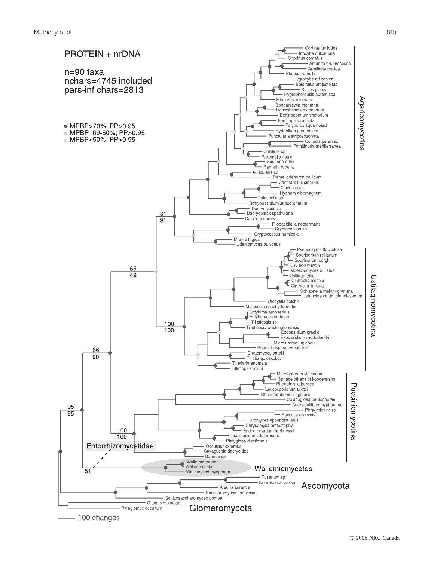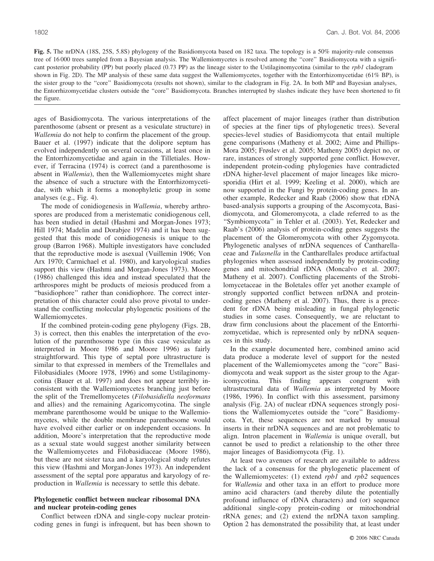**Fig. 5.** The nrDNA (18S, 25S, 5.8S) phylogeny of the Basidiomycota based on 182 taxa. The topology is a 50% majority-rule consensus tree of 16 000 trees sampled from a Bayesian analysis. The Wallemiomycetes is resolved among the ''core'' Basidiomycota with a significant posterior probability (PP) but poorly placed (0.73 PP) as the lineage sister to the Ustilaginomycotina (similar to the *rpb1* cladogram shown in Fig. 2D). The MP analysis of these same data suggest the Wallemiomycetes, together with the Entorrhizomycetidae (61% BP), is the sister group to the ''core'' Basidiomycota (results not shown), similar to the cladogram in Fig. 2A. In both MP and Bayesian analyses, the Entorrhizomycetidae clusters outside the ''core'' Basidiomycota. Branches interrupted by slashes indicate they have been shortened to fit the figure.

ages of Basidiomycota. The various interpretations of the parenthosome (absent or present as a vesiculate structure) in *Wallemia* do not help to confirm the placement of the group. Bauer et al. (1997) indicate that the dolipore septum has evolved independently on several occasions, at least once in the Entorrhizomycetidae and again in the Tilletiales. However, if Terracina (1974) is correct (and a parenthosome is absent in *Wallemia*), then the Wallemiomycetes might share the absence of such a structure with the Entorrhizomycetidae, with which it forms a monophyletic group in some analyses (e.g., Fig. 4).

The mode of conidiogenesis in *Wallemia*, whereby arthrospores are produced from a meristematic conidiogenous cell, has been studied in detail (Hashmi and Morgan-Jones 1973; Hill 1974; Madelin and Dorabjee 1974) and it has been suggested that this mode of conidiogenesis is unique to the group (Barron 1968). Multiple investigators have concluded that the reproductive mode is asexual (Vuillemin 1906; Von Arx 1970; Carmichael et al. 1980), and karyological studies support this view (Hashmi and Morgan-Jones 1973). Moore (1986) challenged this idea and instead speculated that the arthrospores might be products of meiosis produced from a ''basidiophore'' rather than conidiophore. The correct interpretation of this character could also prove pivotal to understand the conflicting molecular phylogenetic positions of the Wallemiomycetes.

If the combined protein-coding gene phylogeny (Figs. 2B, 3) is correct, then this enables the interpretation of the evolution of the parenthosome type (in this case vesiculate as interpreted in Moore 1986 and Moore 1996) as fairly straightforward. This type of septal pore ultrastructure is similar to that expressed in members of the Tremellales and Filobasidiales (Moore 1978, 1996) and some Ustilaginomycotina (Bauer et al. 1997) and does not appear terribly inconsistent with the Wallemiomycetes branching just before the split of the Tremellomycetes (*Filobasidiella neoformans* and allies) and the remaining Agaricomycotina. The single membrane parenthosome would be unique to the Wallemiomycetes, while the double membrane parenthesome would have evolved either earlier or on independent occasions. In addition, Moore's interpretation that the reproductive mode as a sexual state would suggest another similarity between the Wallemiomycetes and Filobasidiaceae (Moore 1986), but these are not sister taxa and a karyological study refutes this view (Hashmi and Morgan-Jones 1973). An independent assessment of the septal pore apparatus and karyology of reproduction in *Wallemia* is necessary to settle this debate.

## **Phylogenetic conflict between nuclear ribosomal DNA and nuclear protein-coding genes**

Conflict between rDNA and single-copy nuclear proteincoding genes in fungi is infrequent, but has been shown to affect placement of major lineages (rather than distribution of species at the finer tips of phylogenetic trees). Several species-level studies of Basidiomycota that entail multiple gene comparisons (Matheny et al. 2002; Aime and Phillips-Mora 2005; Frøslev et al. 2005; Matheny 2005) depict no, or rare, instances of strongly supported gene conflict. However, independent protein-coding phylogenies have contradicted rDNA higher-level placement of major lineages like microsporidia (Hirt et al. 1999; Keeling et al. 2000), which are now supported in the Fungi by protein-coding genes. In another example, Redecker and Raab (2006) show that rDNA based-analysis supports a grouping of the Ascomycota, Basidiomycota, and Glomeromycota, a clade referred to as the "Symbiomycota" in Tehler et al. (2003). Yet, Redecker and Raab's (2006) analysis of protein-coding genes suggests the placement of the Glomeromycota with other Zygomycota. Phylogenetic analyses of nrDNA sequences of Cantharellaceae and *Tulasnella* in the Cantharellales produce artifactual phylogenies when assessed independently by protein-coding genes and mitochondrial rDNA (Moncalvo et al. 2007; Matheny et al. 2007). Conflicting placements of the Strobilomycetaceae in the Boletales offer yet another example of strongly supported conflict between nrDNA and proteincoding genes (Matheny et al. 2007). Thus, there is a precedent for rDNA being misleading in fungal phylogenetic studies in some cases. Consequently, we are reluctant to draw firm conclusions about the placement of the Entorrhizomycetidae, which is represented only by nrDNA sequences in this study.

In the example documented here, combined amino acid data produce a moderate level of support for the nested placement of the Wallemiomycetes among the ''core'' Basidiomycota and weak support as the sister group to the Agaricomycotina. This finding appears congruent with ultrastructural data of *Wallemia* as interpreted by Moore (1986, 1996). In conflict with this assessment, parsimony analysis (Fig. 2A) of nuclear rDNA sequences strongly positions the Wallemiomycetes outside the ''core'' Basidiomycota. Yet, these sequences are not marked by unusual inserts in their nrDNA sequences and are not problematic to align. Intron placement in *Wallemia* is unique overall, but cannot be used to predict a relationship to the other three major lineages of Basidiomycota (Fig. 1).

At least two avenues of research are available to address the lack of a consensus for the phylogenetic placement of the Wallemiomycetes: (1) extend *rpb1* and *rpb2* sequences for *Wallemia* and other taxa in an effort to produce more amino acid characters (and thereby dilute the potentially profound influence of rDNA characters) and (or) sequence additional single-copy protein-coding or mitochondrial rRNA genes; and (2) extend the nrDNA taxon sampling. Option 2 has demonstrated the possibility that, at least under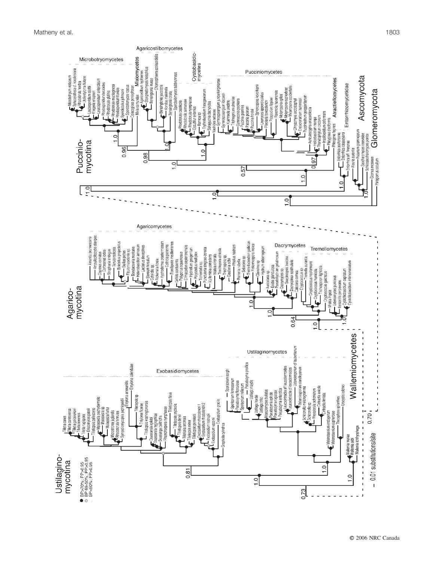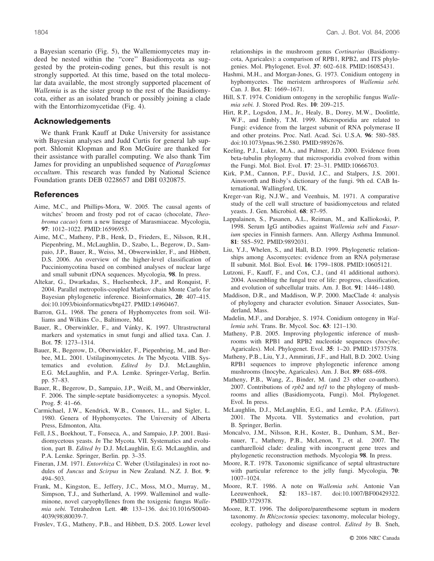a Bayesian scenario (Fig. 5), the Wallemiomycetes may indeed be nested within the ''core'' Basidiomycota as suggested by the protein-coding genes, but this result is not strongly supported. At this time, based on the total molecular data available, the most strongly supported placement of *Wallemia* is as the sister group to the rest of the Basidiomycota, either as an isolated branch or possibly joining a clade with the Entorrhizomycetidae (Fig. 4).

#### **Acknowledgements**

We thank Frank Kauff at Duke University for assistance with Bayesian analyses and Judd Curtis for general lab support. Shlomit Klopman and Ron McGuire are thanked for their assistance with parallel computing. We also thank Tim James for providing an unpublished sequence of *Paraglomus occultum*. This research was funded by National Science Foundation grants DEB 0228657 and DBI 0320875.

#### **References**

- Aime, M.C., and Phillips-Mora, W. 2005. The causal agents of witches' broom and frosty pod rot of cacao (chocolate, *Theobroma cacao*) form a new lineage of Marasmiaceae. Mycologia, **97**: 1012–1022. PMID:16596953.
- Aime, M.C., Matheny, P.B., Henk, D., Frieders, E., Nilsson, R.H., Piepenbring, M., McLaughlin, D., Szabo, L., Begerow, D., Sampaio, J.P., Bauer, R., Weiss, M., Obwerwinkler, F., and Hibbett, D.S. 2006. An overview of the higher-level classification of Pucciniomycotina based on combined analyses of nuclear large and small subunit rDNA sequences. Mycologia, **98**. In press.
- Altekar, G., Dwarkadas, S., Huelsenbeck, J.P., and Ronquist, F. 2004. Parallel metropolis-coupled Markov chain Monte Carlo for Bayesian phylogenetic inference. Bioinformatics, **20**: 407–415. doi:10.1093/bioinformatics/btg427. PMID:14960467.
- Barron, G.L. 1968. The genera of Hyphomycetes from soil. Williams and Wilkins Co., Baltimore, Md.
- Bauer, R., Oberwinkler, F., and Vánky, K. 1997. Ultrastructural markers and systematics in smut fungi and allied taxa. Can. J. Bot. **75**: 1273–1314.
- Bauer, R., Begerow, D., Oberwinkler, F., Piepenbring, M., and Berbee, M.L. 2001. Ustilaginomycetes. *In* The Mycota. VIIB. Systematics and evolution. *Edited by* D.J. McLaughlin, E.G. McLaughlin, and P.A. Lemke. Springer-Verlag, Berlin. pp. 57–83.
- Bauer, R., Begerow, D., Sampaio, J.P., Weiß, M., and Oberwinkler, F. 2006. The simple-septate basidiomycetes: a synopsis. Mycol. Prog. **5**: 41–66.
- Carmichael, J.W., Kendrick, W.B., Connors, I.L., and Sigler, L. 1980. Genera of Hyphomycetes. The University of Alberta Press, Edmonton, Alta.
- Fell, J.S., Boekhout, T., Fonseca, A., and Sampaio, J.P. 2001. Basidiomycetous yeasts. *In* The Mycota. VII. Systematics and evolution, part B. *Edited by* D.J. McLaughlin, E.G. McLaughlin, and P.A. Lemke. Springer, Berlin. pp. 3–35.
- Fineran, J.M. 1971. *Entorrhiza* C. Weber (Ustilaginales) in root nodules of *Juncus* and *Scirpus* in New Zealand. N.Z. J. Bot. **9**: 494–503.
- Frank, M., Kingston, E., Jeffery, J.C., Moss, M.O., Murray, M., Simpson, T.J., and Sutherland, A. 1999. Walleminol and walleminone, novel caryophyllenes from the toxigenic fungus *Wallemia sebi.* Tetrahedron Lett. **40**: 133–136. doi:10.1016/S0040- 4039(98)80039-7.
- Frøslev, T.G., Matheny, P.B., and Hibbett, D.S. 2005. Lower level

relationships in the mushroom genus *Cortinarius* (Basidiomycota, Agaricales): a comparison of RPB1, RPB2, and ITS phylogenies. Mol. Phylogenet. Evol. **37**: 602–618. PMID:16085431.

- Hashmi, M.H., and Morgan-Jones, G. 1973. Conidium ontogeny in hyphomycetes. The meristem arthrospores of *Wallemia sebi.* Can. J. Bot. **51**: 1669–1671.
- Hill, S.T. 1974. Conidium ontogeny in the xerophilic fungus *Wallemia sebi.* J. Stored Prod. Res. **10**: 209–215.
- Hirt, R.P., Logsdon, J.M., Jr., Healy, B., Dorey, M.W., Doolittle, W.F., and Embly, T.M. 1999. Microsporidia are related to Fungi: evidence from the largest subunit of RNA polymerase II and other proteins. Proc. Natl. Acad. Sci. U.S.A. **96**: 580–585. doi:10.1073/pnas.96.2.580. PMID:9892676.
- Keeling, P.J., Luker, M.A., and Palmer, J.D. 2000. Evidence from beta-tubulin phylogeny that microsporidia evolved from within the Fungi. Mol. Biol. Evol. **17**: 23–31. PMID:10666703.
- Kirk, P.M., Cannon, P.F., David, J.C., and Stalpers, J.S. 2001. Ainsworth and Bisby's dictionary of the fungi. 9th ed. CAB International, Wallingford, UK.
- Kreger-van Rig, N.J.W., and Veenhuis, M. 1971. A comparative study of the cell wall structure of basidiomycetous and related yeasts. J. Gen. Microbiol. **68**: 87–95.
- Lappalainen, S., Pasanen, A.L., Reiman, M., and Kalliokoski, P. 1998. Serum IgG antibodies against *Wallemia sebi* and *Fusarium* species in Finnish farmers. Ann. Allergy Asthma Immunol. **81**: 585–592. PMID:9892031.
- Liu, Y.J., Whelen, S., and Hall, B.D. 1999. Phylogenetic relationships among Ascomycetes: evidence from an RNA polymerase II subunit. Mol. Biol. Evol. **16**: 1799–1808. PMID:10605121.
- Lutzoni, F., Kauff, F., and Cox, C.J., (and 41 additional authors). 2004. Assembling the fungal tree of life: progress, classification, and evolution of subcellular traits. Am. J. Bot. **91**: 1446–1480.
- Maddison, D.R., and Maddison, W.P. 2000. MacClade 4: analysis of phylogeny and character evolution. Sinauer Associates, Sunderland, Mass.
- Madelin, M.F., and Dorabjee, S. 1974. Conidium ontogeny in *Wallemia sebi.* Trans. Br. Mycol. Soc. **63**: 121–130.
- Matheny, P.B. 2005. Improving phylogentic inference of mushrooms with RPB1 and RPB2 nucleotide sequences (*Inocybe*; Agaricales). Mol. Phylogenet. Evol. **35**: 1–20. PMID:15737578.
- Matheny, P.B., Liu, Y.J., Ammirati, J.F., and Hall, B.D. 2002. Using RPB1 sequences to improve phylogenetic inference among mushrooms (Inocybe, Agaricales). Am. J. Bot. **89**: 688–698.
- Matheny, P.B., Wang, Z., Binder, M. (and 23 other co-authors). 2007. Contributions of *rpb2* and *tef1* to the phylogeny of mushrooms and allies (Basidiomycota, Fungi). Mol. Phylogenet. Evol. In press.
- McLaughlin, D.J., McLaughlin, E.G., and Lemke, P.A. (*Editors*). 2001. The Mycota. VII. Systematics and evolution, part B. Springer, Berlin.
- Moncalvo, J.M., Nilsson, R.H., Koster, B., Dunham, S.M., Bernauer, T., Matheny, P.B., McLenon, T., et al. 2007. The cantharelloid clade: dealing with incongruent gene trees and phylogenetic reconstruction methods. Mycologia **98**. In press.
- Moore, R.T. 1978. Taxonomic significance of septal ultrastructure with particular reference to the jelly fungi. Mycologia, **70**: 1007–1024.
- Moore, R.T. 1986. A note on *Wallemia sebi.* Antonie Van Leeuwenhoek, **52**: 183–187. doi:10.1007/BF00429322. PMID:3729378.
- Moore, R.T. 1996. The dolipore/parenthesome septum in modern taxonomy. *In Rhizoctonia* species: taxonomy, molecular biology, ecology, pathology and disease control. *Edited by* B. Sneh,